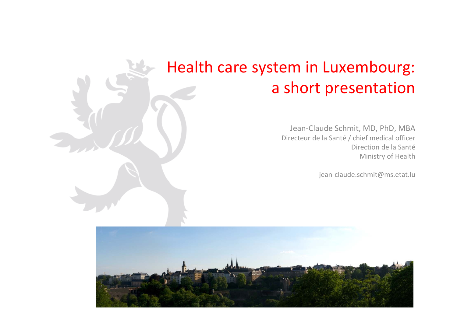## Health care system in Luxembourg: a short presentation

Jean‐Claude Schmit, MD, PhD, MBA Directeur de la Santé / chief medical officer Direction de la Santé Ministry of Health

jean-claude.schmit@ms.etat.lu

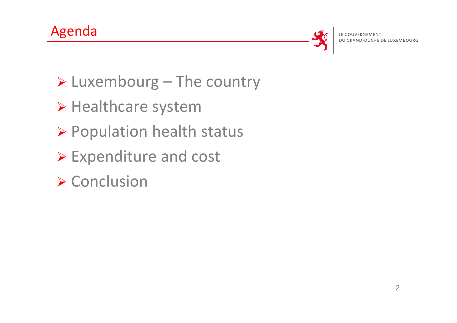

DU GRAND-DUCHÉ DE LUXEMBOURG

- $\triangleright$  Luxembourg The country
- > Healthcare system
- Population health status
- Expenditure and cost
- ▶ Conclusion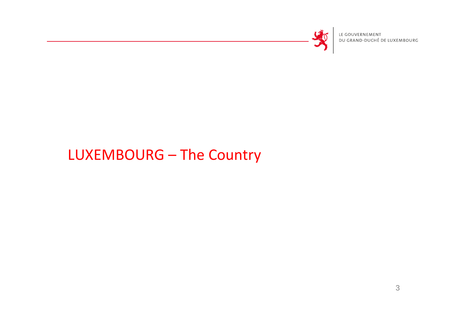

LE GOUVERNEMENT<br>DU GRAND-DUCHÉ DE LUXEMBOURG

### LUXEMBOURG – The Country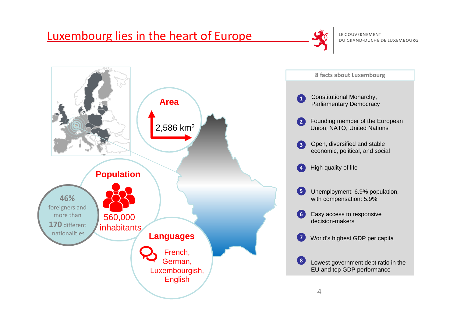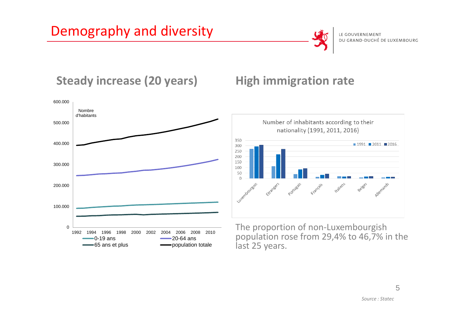

#### **Steady increase (20 years) High immigration rate**





The proportion of non‐Luxembourgish population rose from 29,4% to 46,7% in the last 25 years.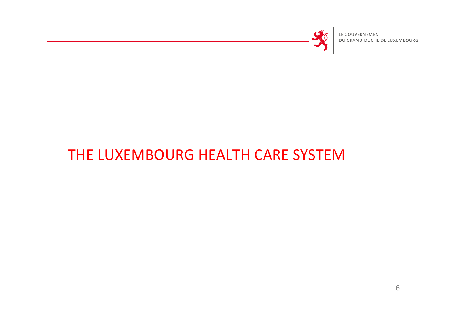

LE GOUVERNEMENT DU GRAND-DUCHÉ DE LUXEMBOURG

### THE LUXEMBOURG HEALTH CARE SYSTEM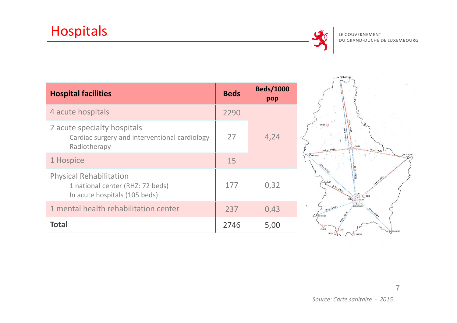

| <b>Hospital facilities</b>                                                                          | <b>Beds</b> | <b>Beds/1000</b><br>pop |
|-----------------------------------------------------------------------------------------------------|-------------|-------------------------|
| 4 acute hospitals                                                                                   | 2290        |                         |
| 2 acute specialty hospitals<br>Cardiac surgery and interventional cardiology<br>Radiotherapy        | 27          | 4,24                    |
| 1 Hospice                                                                                           | 15          |                         |
| <b>Physical Rehabilitation</b><br>1 national center (RHZ: 72 beds)<br>In acute hospitals (105 beds) | 177         | 0,32                    |
| 1 mental health rehabilitation center                                                               | 237         | 0,43                    |
| <b>Total</b>                                                                                        | 2746        | 5,00                    |

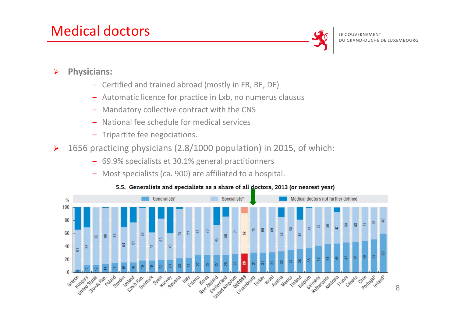#### Medical doctors



LE GOUVERNEMENT DU GRAND-DUCHÉ DE LUXEMBOURG

- $\blacktriangleright$  **Physicians:**
	- ‒ Certified and trained abroad (mostly in FR, BE, DE)
	- ‒ Automatic licence for practice in Lxb, no numerus clausus
	- ‒ Mandatory collective contract with the CNS
	- ‒ National fee schedule for medical services
	- ‒ Tripartite fee negociations.
- $\blacktriangleright$  1656 practicing physicians (2.8/1000 population) in 2015, of which:
	- ‒ 69.9% specialists et 30.1% general practitionners
	- ‒ Most specialists (ca. 900) are affiliated to <sup>a</sup> hospital.



#### 5.5. Generalists and specialists as a share of all doctors, 2013 (or nearest year)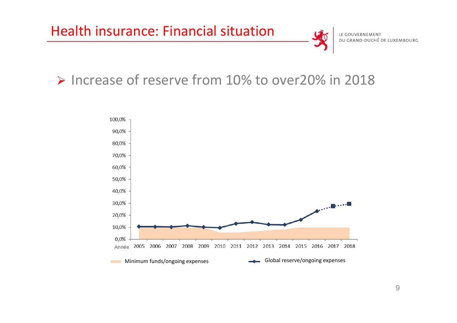



#### ▶ Increase of reserve from 10% to over20% in 2018

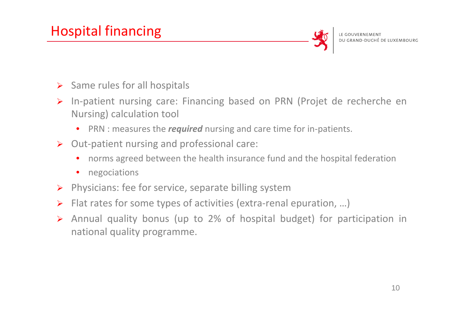#### Hospital financing



- $\triangleright$  Same rules for all hospitals
- > In-patient nursing care: Financing based on PRN (Projet de recherche en Nursing) calculation tool
	- $\bullet$ ● PRN : measures the *required* nursing and care time for in-patients.
- ▶ Out-patient nursing and professional care:
	- •norms agreed between the health insurance fund and the hospital federation
	- $\bullet$ negociations
- > Physicians: fee for service, separate billing system
- Flat rates for some types of activities (extra‐renal epuration, …)
- Annual quality bonus (up to 2% of hospital budget) for participation in national quality programme.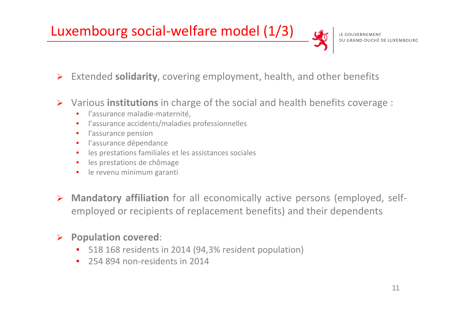#### Luxembourg social‐welfare model (1/3)

- Extended **solidarity**, covering employment, health, and other benefits
- $\blacktriangleright$  Various **institutions** in charge of the social and health benefits coverage :
	- •l'assurance maladie‐maternité,
	- •l'assurance accidents/maladies professionnelles
	- •**•** l'assurance pension
	- •**·** l'assurance dépendance
	- •les prestations familiales et les assistances sociales
	- •**·** les prestations de chômage
	- •**•** le revenu minimum garanti
- **EXED Mandatory affiliation** for all economically active persons (employed, selfemployed or recipients of replacement benefits) and their dependents

#### **Population covered**:

- $\bullet$ 518 168 residents in 2014 (94,3% resident population)
- •● 254 894 non-residents in 2014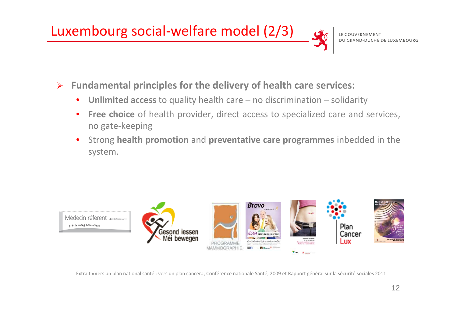#### Luxembourg social‐welfare model (2/3)

 $E + f$ ir meng Gesondheet

#### $\blacktriangleright$ **Fundamental principles for the delivery of health care services:**

- •**Unlimited access** to quality health care – no discrimination – solidarity
- •**Free choice** of health provider, direct access to specialized care and services, no gate‐keeping
- • Strong **health promotion** and **preventative care programmes** inbedded in the system.



Extrait «Vers un plan national santé : vers un plan cancer», Conférence nationale Santé, 2009 et Rapport général sur la sécurité sociales 2011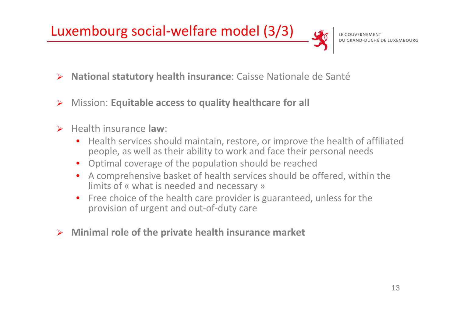#### Luxembourg social‐welfare model (3/3)

- **National statutory health insurance**: Caisse Nationale de Santé
- $\blacktriangleright$ Mission: **Equitable access to quality healthcare for all**
- $\blacktriangleright$  Health insurance **law**:
	- $\bullet$  Health services should maintain, restore, or improve the health of affiliated people, as well as their ability to work and face their personal needs
	- $\bullet$ Optimal coverage of the population should be reached
	- $\bullet$  A comprehensive basket of health services should be offered, within the limits of « what is needed and necessary »
	- $\bullet$ • Free choice of the health care provider is guaranteed, unless for the provision of urgent and out‐of‐duty care
- **Minimal role of the private health insurance market**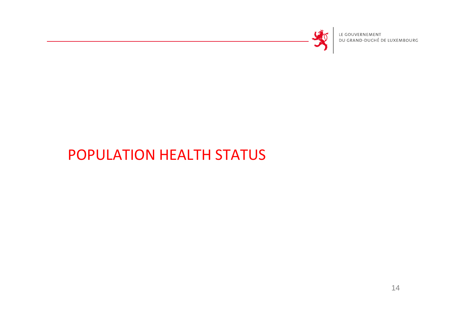

LE GOUVERNEMENT<br>DU GRAND-DUCHÉ DE LUXEMBOURG

### POPULATION HEALTH STATUS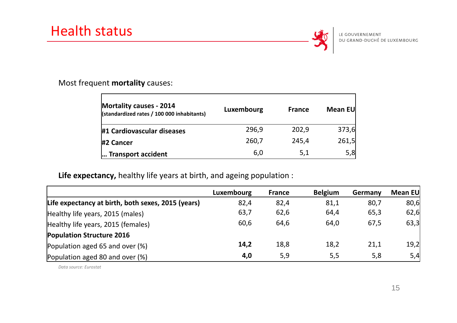

#### Most frequent **mortality** causes:

| <b>Mortality causes - 2014</b><br>(standardized rates / 100 000 inhabitants) | Luxembourg | <b>France</b> | Mean EU |
|------------------------------------------------------------------------------|------------|---------------|---------|
| #1 Cardiovascular diseases                                                   | 296,9      | 202,9         | 373,6   |
| #2 Cancer                                                                    | 260,7      | 245,4         | 261,5   |
| Transport accident                                                           | 6,0        | 5,1           | 5,8     |

#### **Life expectancy,** healthy life years at birth, and ageing population :

|                                                    | Luxembourg | <b>France</b> | <b>Belgium</b> | Germany | Mean EU |
|----------------------------------------------------|------------|---------------|----------------|---------|---------|
| Life expectancy at birth, both sexes, 2015 (years) | 82,4       | 82,4          | 81,1           | 80,7    | 80,6    |
| Healthy life years, 2015 (males)                   | 63,7       | 62,6          | 64,4           | 65,3    | 62,6    |
| Healthy life years, 2015 (females)                 | 60,6       | 64,6          | 64,0           | 67,5    | 63,3    |
| <b>Population Structure 2016</b>                   |            |               |                |         |         |
| Population aged 65 and over (%)                    | 14,2       | 18,8          | 18,2           | 21,1    | 19,2    |
| Population aged 80 and over (%)                    | 4,0        | 5,9           | 5,5            | 5,8     | 5,4     |

*Data source: Eurostat*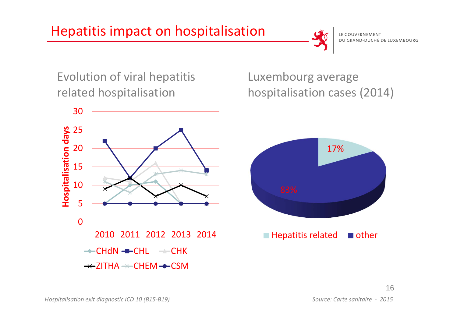

Evolution of viral hepatitis related hospitalisation



Luxembourg average hospitalisation cases (2014)

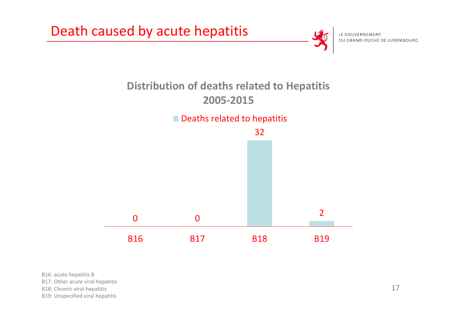

B16: acute hepatitis B

B17: Other acute viral hepatitis

B18: Chronic viral hepatitis

B19: Unspecified viral hepatitis

17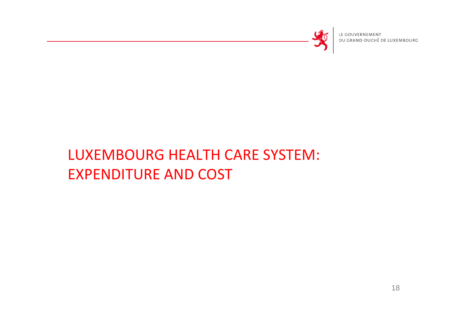

LE GOUVERNEMENT DU GRAND-DUCHÉ DE LUXEMBOURG

## LUXEMBOURG HEALTH CARE SYSTEM: EXPENDITURE AND COST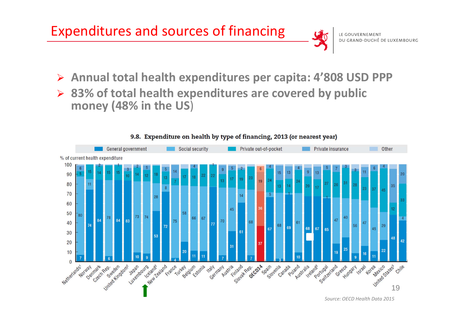



- $\blacktriangleright$ **Annual total health expenditures per capita: 4'808 USD PPP**
- **83% of total health expenditures are covered by public money (48% in the US**)



#### 9.8. Expenditure on health by type of financing, 2013 (or nearest year)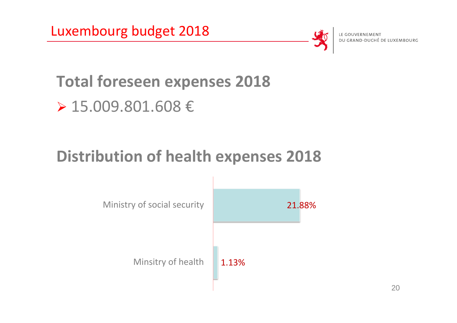



LE GOUVERNEMENT DU GRAND-DUCHÉ DE LUXEMBOURG

# **Total foreseen expenses 2018** 15.009.801.608 €

## **Distribution of health expenses 2018**

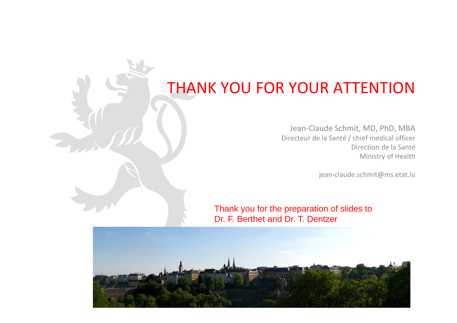## THANK YOU FOR YOUR ATTENTION

Jean‐Claude Schmit, MD, PhD, MBA Directeur de la Santé / chief medical officer Direction de la Santé Ministry of Health

jean-claude.schmit@ms.etat.lu

Thank you for the preparation of slides to Dr. F. Berthet and Dr. T. Dentzer

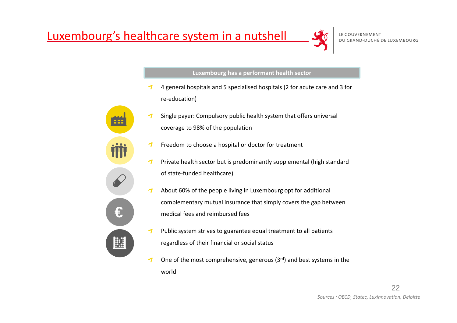

#### **Luxembourg has <sup>a</sup> performant health sector**

- 4 general hospitals and 5 specialised hospitals (2 for acute care and 3 for re‐education)
- Single payer: Compulsory public health system that offers universal  $\mathcal I$ coverage to 98% of the population
- Freedom to choose <sup>a</sup> hospital or doctor for treatment ┓
- -1 Private health sector but is predominantly supplemental (high standard of state‐funded healthcare)
- $\boldsymbol{\tau}$ About 60% of the people living in Luxembourg opt for additional complementary mutual insurance that simply covers the gap between medical fees and reimbursed fees
- -1 Public system strives to guarantee equal treatment to all patients regardless of their financial or social status
- One of the most comprehensive, generous (3 $rd$ ) and best systems in the  $\mathcal I$ world



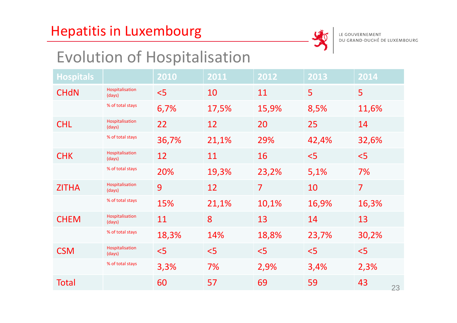#### Hepatitis in Luxembourg



## Evolution of Hospitalisation

| <b>Hospitals</b> |                           | 2010  | 2011  | 2012           | 2013  | 2014           |
|------------------|---------------------------|-------|-------|----------------|-------|----------------|
| <b>CHdN</b>      | Hospitalisation<br>(days) | < 5   | 10    | 11             | 5     | 5              |
|                  | % of total stays          | 6,7%  | 17,5% | 15,9%          | 8,5%  | 11,6%          |
| <b>CHL</b>       | Hospitalisation<br>(days) | 22    | 12    | 20             | 25    | 14             |
|                  | % of total stays          | 36,7% | 21,1% | 29%            | 42,4% | 32,6%          |
| <b>CHK</b>       | Hospitalisation<br>(days) | 12    | 11    | 16             | < 5   | 5<             |
|                  | % of total stays          | 20%   | 19,3% | 23,2%          | 5,1%  | 7%             |
| <b>ZITHA</b>     | Hospitalisation<br>(days) | 9     | 12    | $\overline{7}$ | 10    | $\overline{7}$ |
|                  | % of total stays          | 15%   | 21,1% | 10,1%          | 16,9% | 16,3%          |
| <b>CHEM</b>      | Hospitalisation<br>(days) | 11    | 8     | 13             | 14    | 13             |
|                  | % of total stays          | 18,3% | 14%   | 18,8%          | 23,7% | 30,2%          |
| <b>CSM</b>       | Hospitalisation<br>(days) | < 5   | < 5   | < 5            | < 5   | < 5            |
|                  | % of total stays          | 3,3%  | 7%    | 2,9%           | 3,4%  | 2,3%           |
| <b>Total</b>     |                           | 60    | 57    | 69             | 59    | 43<br>23       |